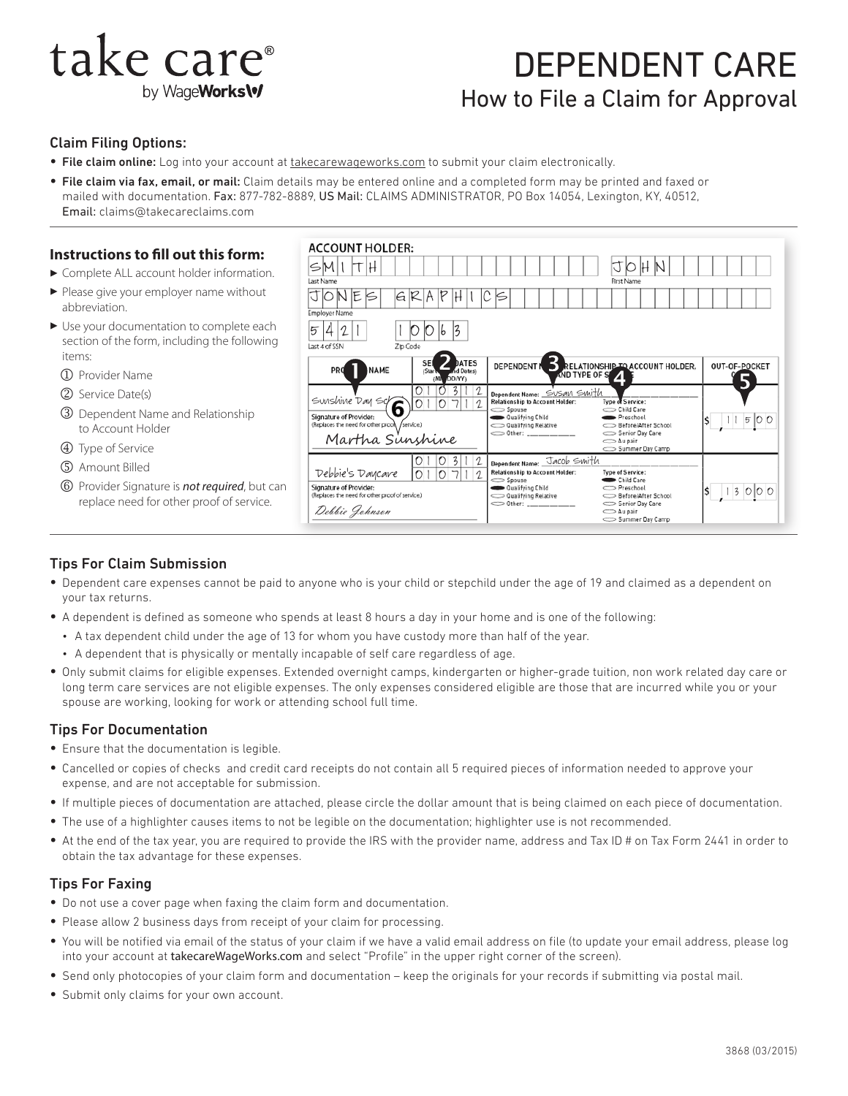# take care<sup>®</sup> by WageWorks\v

# DEPENDENT CARE How to File a Claim for Approval

#### Claim Filing Options:

- File claim online: Log into your account at [takecarewageworks.com](http://www.takecareWageWorks.com) to submit your claim electronically.
- File claim via fax, email, or mail: Claim details may be entered online and a completed form may be printed and faxed or mailed with documentation. Fax: 877-782-8889, US Mail: CLAIMS ADMINISTRATOR, PO Box 14054, Lexington, KY, 40512, Email: claims@takecareclaims.com

#### **Instructions to fill out this form:**

- $\blacktriangleright$  Complete ALL account holder information.
- $\blacktriangleright$  Please give your employer name without abbreviation.
- $\blacktriangleright$  Use your documentation to complete each section of the form, including the following items:
	- j Provider Name
- (2) Service Date(s)
- **3** Dependent Name and Relationship to Account Holder
- **4** Type of Service
- 5 Amount Billed
- o Provider Signature is *not required*, but can replace need for other proof of service.



### Tips For Claim Submission

- Dependent care expenses cannot be paid to anyone who is your child or stepchild under the age of 19 and claimed as a dependent on your tax returns.
- A dependent is defined as someone who spends at least 8 hours a day in your home and is one of the following:
	- A tax dependent child under the age of 13 for whom you have custody more than half of the year.
	- A dependent that is physically or mentally incapable of self care regardless of age.
- Only submit claims for eligible expenses. Extended overnight camps, kindergarten or higher-grade tuition, non work related day care or long term care services are not eligible expenses. The only expenses considered eligible are those that are incurred while you or your spouse are working, looking for work or attending school full time.

#### Tips For Documentation

- Ensure that the documentation is legible.
- Cancelled or copies of checks and credit card receipts do not contain all 5 required pieces of information needed to approve your expense, and are not acceptable for submission.
- If multiple pieces of documentation are attached, please circle the dollar amount that is being claimed on each piece of documentation.
- The use of a highlighter causes items to not be legible on the documentation; highlighter use is not recommended.
- At the end of the tax year, you are required to provide the IRS with the provider name, address and Tax ID # on Tax Form 2441 in order to obtain the tax advantage for these expenses.

#### Tips For Faxing

- Do not use a cover page when faxing the claim form and documentation.
- Please allow 2 business days from receipt of your claim for processing.
- You will be notified via email of the status of your claim if we have a valid email address on file (to update your email address, please log into your account at takecareWageWorks.com and select "Profile" in the upper right corner of the screen).
- Send only photocopies of your claim form and documentation keep the originals for your records if submitting via postal mail.
- Submit only claims for your own account.